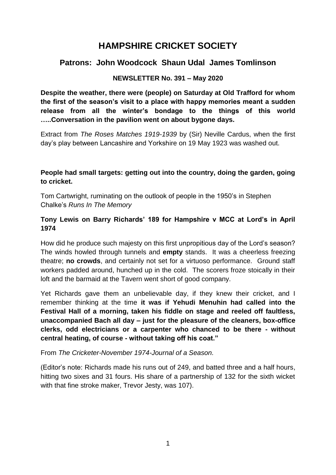# **HAMPSHIRE CRICKET SOCIETY**

# **Patrons: John Woodcock Shaun Udal James Tomlinson**

### **NEWSLETTER No. 391 – May 2020**

**Despite the weather, there were (people) on Saturday at Old Trafford for whom the first of the season's visit to a place with happy memories meant a sudden release from all the winter's bondage to the things of this world …..Conversation in the pavilion went on about bygone days.**

Extract from *The Roses Matches 1919-1939* by (Sir) Neville Cardus, when the first day's play between Lancashire and Yorkshire on 19 May 1923 was washed out.

## **People had small targets: getting out into the country, doing the garden, going to cricket.**

Tom Cartwright, ruminating on the outlook of people in the 1950's in Stephen Chalke's *Runs In The Memory*

## **Tony Lewis on Barry Richards' 189 for Hampshire v MCC at Lord's in April 1974**

How did he produce such majesty on this first unpropitious day of the Lord's season? The winds howled through tunnels and **empty** stands. It was a cheerless freezing theatre; **no crowds**, and certainly not set for a virtuoso performance. Ground staff workers padded around, hunched up in the cold. The scorers froze stoically in their loft and the barmaid at the Tavern went short of good company.

Yet Richards gave them an unbelievable day, if they knew their cricket, and I remember thinking at the time **it was if Yehudi Menuhin had called into the Festival Hall of a morning, taken his fiddle on stage and reeled off faultless, unaccompanied Bach all day – just for the pleasure of the cleaners, box-office clerks, odd electricians or a carpenter who chanced to be there - without central heating, of course - without taking off his coat."**

### From *The Cricketer-November 1974-Journal of a Season.*

(Editor's note: Richards made his runs out of 249, and batted three and a half hours, hitting two sixes and 31 fours. His share of a partnership of 132 for the sixth wicket with that fine stroke maker, Trevor Jesty, was 107).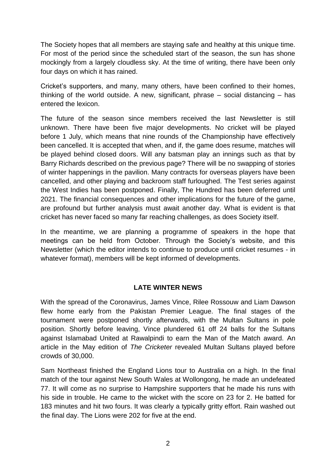The Society hopes that all members are staying safe and healthy at this unique time. For most of the period since the scheduled start of the season, the sun has shone mockingly from a largely cloudless sky. At the time of writing, there have been only four days on which it has rained.

Cricket's supporters, and many, many others, have been confined to their homes, thinking of the world outside. A new, significant, phrase – social distancing – has entered the lexicon.

The future of the season since members received the last Newsletter is still unknown. There have been five major developments. No cricket will be played before 1 July, which means that nine rounds of the Championship have effectively been cancelled. It is accepted that when, and if, the game does resume, matches will be played behind closed doors. Will any batsman play an innings such as that by Barry Richards described on the previous page? There will be no swapping of stories of winter happenings in the pavilion. Many contracts for overseas players have been cancelled, and other playing and backroom staff furloughed. The Test series against the West Indies has been postponed. Finally, The Hundred has been deferred until 2021. The financial consequences and other implications for the future of the game, are profound but further analysis must await another day. What is evident is that cricket has never faced so many far reaching challenges, as does Society itself.

In the meantime, we are planning a programme of speakers in the hope that meetings can be held from October. Through the Society's website, and this Newsletter (which the editor intends to continue to produce until cricket resumes - in whatever format), members will be kept informed of developments.

### **LATE WINTER NEWS**

With the spread of the Coronavirus, James Vince, Rilee Rossouw and Liam Dawson flew home early from the Pakistan Premier League. The final stages of the tournament were postponed shortly afterwards, with the Multan Sultans in pole position. Shortly before leaving, Vince plundered 61 off 24 balls for the Sultans against Islamabad United at Rawalpindi to earn the Man of the Match award. An article in the May edition of *The Cricketer* revealed Multan Sultans played before crowds of 30,000.

Sam Northeast finished the England Lions tour to Australia on a high. In the final match of the tour against New South Wales at Wollongong, he made an undefeated 77. It will come as no surprise to Hampshire supporters that he made his runs with his side in trouble. He came to the wicket with the score on 23 for 2. He batted for 183 minutes and hit two fours. It was clearly a typically gritty effort. Rain washed out the final day. The Lions were 202 for five at the end.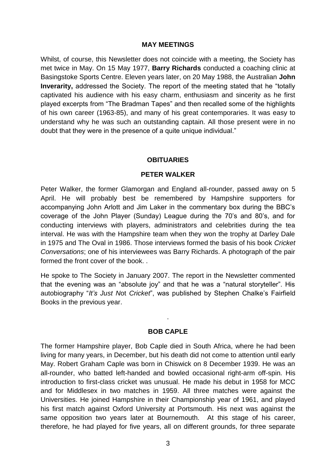#### **MAY MEETINGS**

Whilst, of course, this Newsletter does not coincide with a meeting, the Society has met twice in May. On 15 May 1977, **Barry Richards** conducted a coaching clinic at Basingstoke Sports Centre. Eleven years later, on 20 May 1988, the Australian **John Inverarity,** addressed the Society. The report of the meeting stated that he "totally captivated his audience with his easy charm, enthusiasm and sincerity as he first played excerpts from "The Bradman Tapes" and then recalled some of the highlights of his own career (1963-85), and many of his great contemporaries. It was easy to understand why he was such an outstanding captain. All those present were in no doubt that they were in the presence of a quite unique individual."

### **OBITUARIES**

#### **PETER WALKER**

Peter Walker, the former Glamorgan and England all-rounder, passed away on 5 April. He will probably best be remembered by Hampshire supporters for accompanying John Arlott and Jim Laker in the commentary box during the BBC's coverage of the John Player (Sunday) League during the 70's and 80's, and for conducting interviews with players, administrators and celebrities during the tea interval. He was with the Hampshire team when they won the trophy at Darley Dale in 1975 and The Oval in 1986. Those interviews formed the basis of his book *Cricket Conversations*; one of his interviewees was Barry Richards. A photograph of the pair formed the front cover of the book. .

He spoke to The Society in January 2007. The report in the Newsletter commented that the evening was an "absolute joy" and that he was a "natural storyteller". His autobiography "*It's Just N*ot *Cricket*", was published by Stephen Chalke's Fairfield Books in the previous year.

#### **BOB CAPLE**

.

The former Hampshire player, Bob Caple died in South Africa, where he had been living for many years, in December, but his death did not come to attention until early May. Robert Graham Caple was born in Chiswick on 8 December 1939. He was an all-rounder, who batted left-handed and bowled occasional right-arm off-spin. His introduction to first-class cricket was unusual. He made his debut in 1958 for MCC and for Middlesex in two matches in 1959. All three matches were against the Universities. He joined Hampshire in their Championship year of 1961, and played his first match against Oxford University at Portsmouth. His next was against the same opposition two years later at Bournemouth. At this stage of his career, therefore, he had played for five years, all on different grounds, for three separate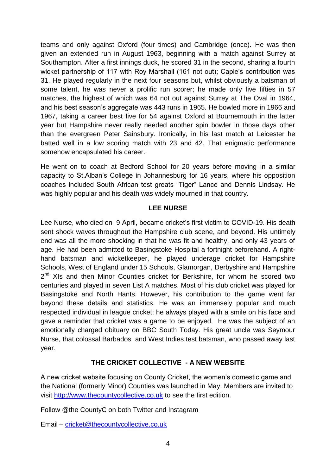teams and only against Oxford (four times) and Cambridge (once). He was then given an extended run in August 1963, beginning with a match against Surrey at Southampton. After a first innings duck, he scored 31 in the second, sharing a fourth wicket partnership of 117 with Roy Marshall (161 not out); Caple's contribution was 31. He played regularly in the next four seasons but, whilst obviously a batsman of some talent, he was never a prolific run scorer; he made only five fifties in 57 matches, the highest of which was 64 not out against Surrey at The Oval in 1964, and his best season's aggregate was 443 runs in 1965. He bowled more in 1966 and 1967, taking a career best five for 54 against Oxford at Bournemouth in the latter year but Hampshire never really needed another spin bowler in those days other than the evergreen Peter Sainsbury. Ironically, in his last match at Leicester he batted well in a low scoring match with 23 and 42. That enigmatic performance somehow encapsulated his career.

He went on to coach at Bedford School for 20 years before moving in a similar capacity to St.Alban's College in Johannesburg for 16 years, where his opposition coaches included South African test greats "Tiger" Lance and Dennis Lindsay. He was highly popular and his death was widely mourned in that country.

### **LEE NURSE**

Lee Nurse, who died on 9 April, became cricket's first victim to COVID-19. His death sent shock waves throughout the Hampshire club scene, and beyond. His untimely end was all the more shocking in that he was fit and healthy, and only 43 years of age. He had been admitted to Basingstoke Hospital a fortnight beforehand. A righthand batsman and wicketkeeper, he played underage cricket for Hampshire Schools, West of England under 15 Schools, Glamorgan, Derbyshire and Hampshire 2<sup>nd</sup> XIs and then Minor Counties cricket for Berkshire, for whom he scored two centuries and played in seven List A matches. Most of his club cricket was played for Basingstoke and North Hants. However, his contribution to the game went far beyond these details and statistics. He was an immensely popular and much respected individual in league cricket; he always played with a smile on his face and gave a reminder that cricket was a game to be enjoyed. He was the subject of an emotionally charged obituary on BBC South Today. His great uncle was Seymour Nurse, that colossal Barbados and West Indies test batsman, who passed away last year.

# **THE CRICKET COLLECTIVE - A NEW WEBSITE**

A new cricket website focusing on County Cricket, the women's domestic game and the National (formerly Minor) Counties was launched in May. Members are invited to visit [http://www.thecountycollective.co.uk](http://www.thecountycollective.co.uk/) to see the first edition.

Follow @the CountyC on both Twitter and Instagram

Email – [cricket@thecountycollective.co.uk](mailto:cricket@thecountycollective.co.uk)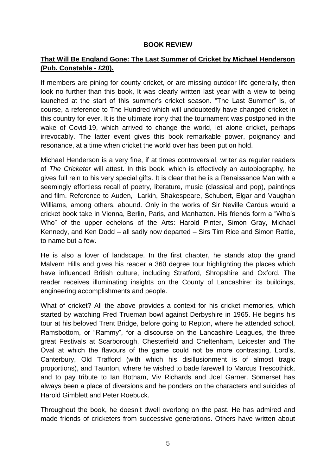### **BOOK REVIEW**

## **That Will Be England Gone: The Last Summer of Cricket by Michael Henderson (Pub. Constable - £20).**

If members are pining for county cricket, or are missing outdoor life generally, then look no further than this book, It was clearly written last year with a view to being launched at the start of this summer's cricket season. "The Last Summer" is, of course, a reference to The Hundred which will undoubtedly have changed cricket in this country for ever. It is the ultimate irony that the tournament was postponed in the wake of Covid-19, which arrived to change the world, let alone cricket, perhaps irrevocably. The latter event gives this book remarkable power, poignancy and resonance, at a time when cricket the world over has been put on hold.

Michael Henderson is a very fine, if at times controversial, writer as regular readers of *The Cricketer* will attest. In this book, which is effectively an autobiography, he gives full rein to his very special gifts. It is clear that he is a Renaissance Man with a seemingly effortless recall of poetry, literature, music (classical and pop), paintings and film. Reference to Auden, Larkin, Shakespeare, Schubert, Elgar and Vaughan Williams, among others, abound. Only in the works of Sir Neville Cardus would a cricket book take in Vienna, Berlin, Paris, and Manhatten. His friends form a "Who's Who" of the upper echelons of the Arts: Harold Pinter, Simon Gray, Michael Kennedy, and Ken Dodd – all sadly now departed – Sirs Tim Rice and Simon Rattle, to name but a few.

He is also a lover of landscape. In the first chapter, he stands atop the grand Malvern Hills and gives his reader a 360 degree tour highlighting the places which have influenced British culture, including Stratford, Shropshire and Oxford. The reader receives illuminating insights on the County of Lancashire: its buildings, engineering accomplishments and people.

What of cricket? All the above provides a context for his cricket memories, which started by watching Fred Trueman bowl against Derbyshire in 1965. He begins his tour at his beloved Trent Bridge, before going to Repton, where he attended school, Ramsbottom, or "Rammy", for a discourse on the Lancashire Leagues, the three great Festivals at Scarborough, Chesterfield and Cheltenham, Leicester and The Oval at which the flavours of the game could not be more contrasting, Lord's, Canterbury, Old Trafford (with which his disillusionment is of almost tragic proportions), and Taunton, where he wished to bade farewell to Marcus Trescothick, and to pay tribute to Ian Botham, Viv Richards and Joel Garner. Somerset has always been a place of diversions and he ponders on the characters and suicides of Harold Gimblett and Peter Roebuck.

Throughout the book, he doesn't dwell overlong on the past. He has admired and made friends of cricketers from successive generations. Others have written about